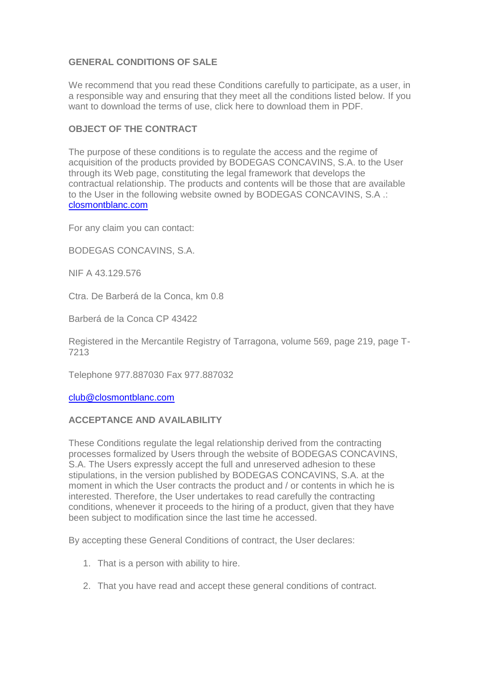# **GENERAL CONDITIONS OF SALE**

We recommend that you read these Conditions carefully to participate, as a user, in a responsible way and ensuring that they meet all the conditions listed below. If you want to download the terms of use, click here to download them in PDF.

# **OBJECT OF THE CONTRACT**

The purpose of these conditions is to regulate the access and the regime of acquisition of the products provided by BODEGAS CONCAVINS, S.A. to the User through its Web page, constituting the legal framework that develops the contractual relationship. The products and contents will be those that are available to the User in the following website owned by BODEGAS CONCAVINS, S.A .: [closmontblanc.com](https://closmontblanc.com/)

For any claim you can contact:

BODEGAS CONCAVINS, S.A.

NIF A 43.129.576

Ctra. De Barberá de la Conca, km 0.8

Barberá de la Conca CP 43422

Registered in the Mercantile Registry of Tarragona, volume 569, page 219, page T-7213

Telephone 977.887030 Fax 977.887032

[club@closmontblanc.com](mailto:club@closmontblanc.com)

#### **ACCEPTANCE AND AVAILABILITY**

These Conditions regulate the legal relationship derived from the contracting processes formalized by Users through the website of BODEGAS CONCAVINS, S.A. The Users expressly accept the full and unreserved adhesion to these stipulations, in the version published by BODEGAS CONCAVINS, S.A. at the moment in which the User contracts the product and / or contents in which he is interested. Therefore, the User undertakes to read carefully the contracting conditions, whenever it proceeds to the hiring of a product, given that they have been subject to modification since the last time he accessed.

By accepting these General Conditions of contract, the User declares:

- 1. That is a person with ability to hire.
- 2. That you have read and accept these general conditions of contract.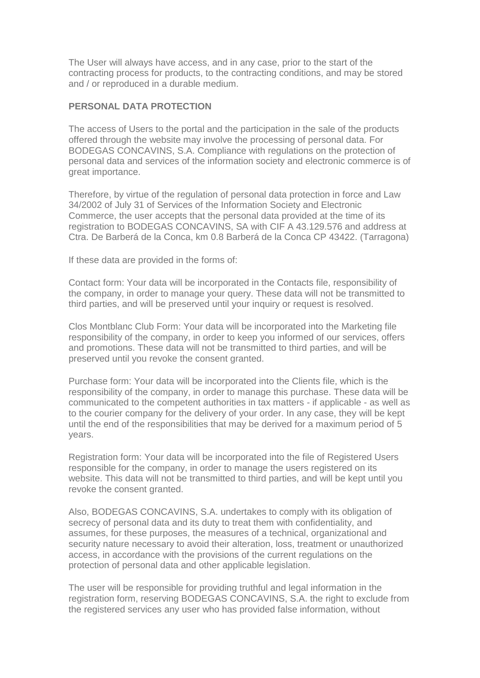The User will always have access, and in any case, prior to the start of the contracting process for products, to the contracting conditions, and may be stored and / or reproduced in a durable medium.

### **PERSONAL DATA PROTECTION**

The access of Users to the portal and the participation in the sale of the products offered through the website may involve the processing of personal data. For BODEGAS CONCAVINS, S.A. Compliance with regulations on the protection of personal data and services of the information society and electronic commerce is of great importance.

Therefore, by virtue of the regulation of personal data protection in force and Law 34/2002 of July 31 of Services of the Information Society and Electronic Commerce, the user accepts that the personal data provided at the time of its registration to BODEGAS CONCAVINS, SA with CIF A 43.129.576 and address at Ctra. De Barberá de la Conca, km 0.8 Barberá de la Conca CP 43422. (Tarragona)

If these data are provided in the forms of:

Contact form: Your data will be incorporated in the Contacts file, responsibility of the company, in order to manage your query. These data will not be transmitted to third parties, and will be preserved until your inquiry or request is resolved.

Clos Montblanc Club Form: Your data will be incorporated into the Marketing file responsibility of the company, in order to keep you informed of our services, offers and promotions. These data will not be transmitted to third parties, and will be preserved until you revoke the consent granted.

Purchase form: Your data will be incorporated into the Clients file, which is the responsibility of the company, in order to manage this purchase. These data will be communicated to the competent authorities in tax matters - if applicable - as well as to the courier company for the delivery of your order. In any case, they will be kept until the end of the responsibilities that may be derived for a maximum period of 5 years.

Registration form: Your data will be incorporated into the file of Registered Users responsible for the company, in order to manage the users registered on its website. This data will not be transmitted to third parties, and will be kept until you revoke the consent granted.

Also, BODEGAS CONCAVINS, S.A. undertakes to comply with its obligation of secrecy of personal data and its duty to treat them with confidentiality, and assumes, for these purposes, the measures of a technical, organizational and security nature necessary to avoid their alteration, loss, treatment or unauthorized access, in accordance with the provisions of the current regulations on the protection of personal data and other applicable legislation.

The user will be responsible for providing truthful and legal information in the registration form, reserving BODEGAS CONCAVINS, S.A. the right to exclude from the registered services any user who has provided false information, without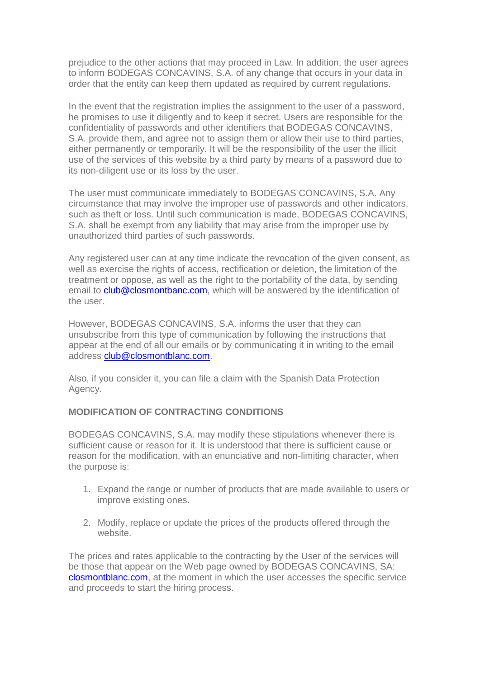prejudice to the other actions that may proceed in Law. In addition, the user agrees to inform BODEGAS CONCAVINS, S.A. of any change that occurs in your data in order that the entity can keep them updated as required by current regulations.

In the event that the registration implies the assignment to the user of a password, he promises to use it diligently and to keep it secret. Users are responsible for the confidentiality of passwords and other identifiers that BODEGAS CONCAVINS, S.A. provide them, and agree not to assign them or allow their use to third parties, either permanently or temporarily. It will be the responsibility of the user the illicit use of the services of this website by a third party by means of a password due to its non-diligent use or its loss by the user.

The user must communicate immediately to BODEGAS CONCAVINS, S.A. Any circumstance that may involve the improper use of passwords and other indicators, such as theft or loss. Until such communication is made, BODEGAS CONCAVINS, S.A. shall be exempt from any liability that may arise from the improper use by unauthorized third parties of such passwords.

Any registered user can at any time indicate the revocation of the given consent, as well as exercise the rights of access, rectification or deletion, the limitation of the treatment or oppose, as well as the right to the portability of the data, by sending email to **club@closmontbanc.com**, which will be answered by the identification of the user.

However, BODEGAS CONCAVINS, S.A. informs the user that they can unsubscribe from this type of communication by following the instructions that appear at the end of all our emails or by communicating it in writing to the email address [club@closmontblanc.com.](mailto:club@closmontblanc.com)

Also, if you consider it, you can file a claim with the Spanish Data Protection Agency.

# **MODIFICATION OF CONTRACTING CONDITIONS**

BODEGAS CONCAVINS, S.A. may modify these stipulations whenever there is sufficient cause or reason for it. It is understood that there is sufficient cause or reason for the modification, with an enunciative and non-limiting character, when the purpose is:

- 1. Expand the range or number of products that are made available to users or improve existing ones.
- 2. Modify, replace or update the prices of the products offered through the website.

The prices and rates applicable to the contracting by the User of the services will be those that appear on the Web page owned by BODEGAS CONCAVINS, SA: [closmontblanc.com,](https://closmontblanc.com/) at the moment in which the user accesses the specific service and proceeds to start the hiring process.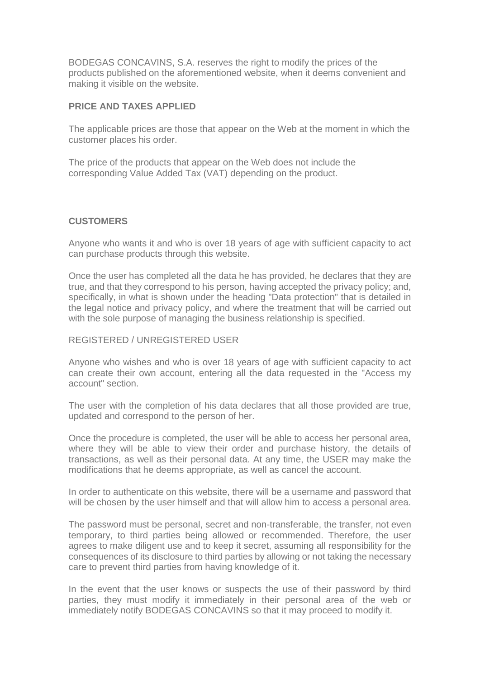BODEGAS CONCAVINS, S.A. reserves the right to modify the prices of the products published on the aforementioned website, when it deems convenient and making it visible on the website.

### **PRICE AND TAXES APPLIED**

The applicable prices are those that appear on the Web at the moment in which the customer places his order.

The price of the products that appear on the Web does not include the corresponding Value Added Tax (VAT) depending on the product.

### **CUSTOMERS**

Anyone who wants it and who is over 18 years of age with sufficient capacity to act can purchase products through this website.

Once the user has completed all the data he has provided, he declares that they are true, and that they correspond to his person, having accepted the privacy policy; and, specifically, in what is shown under the heading "Data protection" that is detailed in the legal notice and privacy policy, and where the treatment that will be carried out with the sole purpose of managing the business relationship is specified.

### REGISTERED / UNREGISTERED USER

Anyone who wishes and who is over 18 years of age with sufficient capacity to act can create their own account, entering all the data requested in the "Access my account" section.

The user with the completion of his data declares that all those provided are true, updated and correspond to the person of her.

Once the procedure is completed, the user will be able to access her personal area, where they will be able to view their order and purchase history, the details of transactions, as well as their personal data. At any time, the USER may make the modifications that he deems appropriate, as well as cancel the account.

In order to authenticate on this website, there will be a username and password that will be chosen by the user himself and that will allow him to access a personal area.

The password must be personal, secret and non-transferable, the transfer, not even temporary, to third parties being allowed or recommended. Therefore, the user agrees to make diligent use and to keep it secret, assuming all responsibility for the consequences of its disclosure to third parties by allowing or not taking the necessary care to prevent third parties from having knowledge of it.

In the event that the user knows or suspects the use of their password by third parties, they must modify it immediately in their personal area of the web or immediately notify BODEGAS CONCAVINS so that it may proceed to modify it.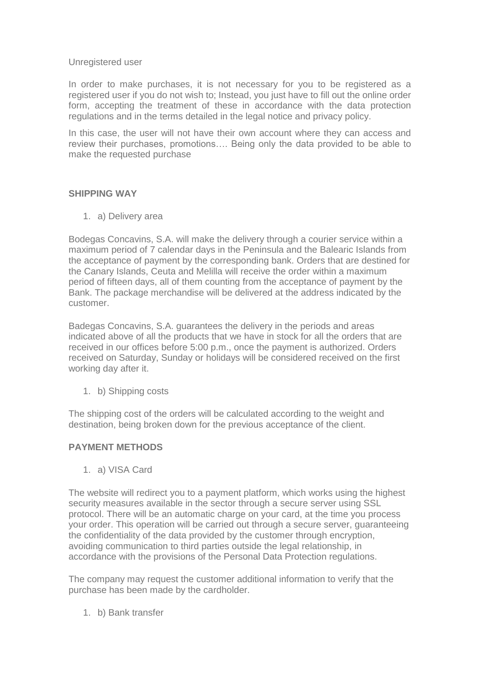#### Unregistered user

In order to make purchases, it is not necessary for you to be registered as a registered user if you do not wish to; Instead, you just have to fill out the online order form, accepting the treatment of these in accordance with the data protection regulations and in the terms detailed in the legal notice and privacy policy.

In this case, the user will not have their own account where they can access and review their purchases, promotions…. Being only the data provided to be able to make the requested purchase

# **SHIPPING WAY**

1. a) Delivery area

Bodegas Concavins, S.A. will make the delivery through a courier service within a maximum period of 7 calendar days in the Peninsula and the Balearic Islands from the acceptance of payment by the corresponding bank. Orders that are destined for the Canary Islands, Ceuta and Melilla will receive the order within a maximum period of fifteen days, all of them counting from the acceptance of payment by the Bank. The package merchandise will be delivered at the address indicated by the customer.

Badegas Concavins, S.A. guarantees the delivery in the periods and areas indicated above of all the products that we have in stock for all the orders that are received in our offices before 5:00 p.m., once the payment is authorized. Orders received on Saturday, Sunday or holidays will be considered received on the first working day after it.

1. b) Shipping costs

The shipping cost of the orders will be calculated according to the weight and destination, being broken down for the previous acceptance of the client.

# **PAYMENT METHODS**

1. a) VISA Card

The website will redirect you to a payment platform, which works using the highest security measures available in the sector through a secure server using SSL protocol. There will be an automatic charge on your card, at the time you process your order. This operation will be carried out through a secure server, guaranteeing the confidentiality of the data provided by the customer through encryption, avoiding communication to third parties outside the legal relationship, in accordance with the provisions of the Personal Data Protection regulations.

The company may request the customer additional information to verify that the purchase has been made by the cardholder.

1. b) Bank transfer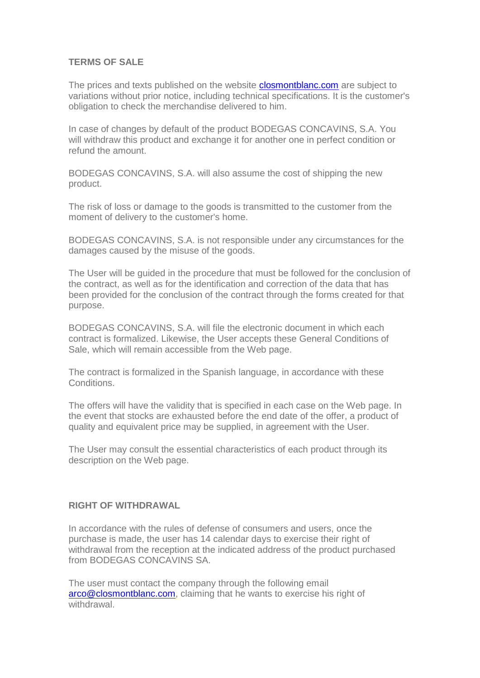### **TERMS OF SALE**

The prices and texts published on the website **closmontblanc.com** are subject to variations without prior notice, including technical specifications. It is the customer's obligation to check the merchandise delivered to him.

In case of changes by default of the product BODEGAS CONCAVINS, S.A. You will withdraw this product and exchange it for another one in perfect condition or refund the amount.

BODEGAS CONCAVINS, S.A. will also assume the cost of shipping the new product.

The risk of loss or damage to the goods is transmitted to the customer from the moment of delivery to the customer's home.

BODEGAS CONCAVINS, S.A. is not responsible under any circumstances for the damages caused by the misuse of the goods.

The User will be guided in the procedure that must be followed for the conclusion of the contract, as well as for the identification and correction of the data that has been provided for the conclusion of the contract through the forms created for that purpose.

BODEGAS CONCAVINS, S.A. will file the electronic document in which each contract is formalized. Likewise, the User accepts these General Conditions of Sale, which will remain accessible from the Web page.

The contract is formalized in the Spanish language, in accordance with these **Conditions** 

The offers will have the validity that is specified in each case on the Web page. In the event that stocks are exhausted before the end date of the offer, a product of quality and equivalent price may be supplied, in agreement with the User.

The User may consult the essential characteristics of each product through its description on the Web page.

#### **RIGHT OF WITHDRAWAL**

In accordance with the rules of defense of consumers and users, once the purchase is made, the user has 14 calendar days to exercise their right of withdrawal from the reception at the indicated address of the product purchased from BODEGAS CONCAVINS SA.

The user must contact the company through the following email [arco@closmontblanc.com,](mailto:arco@closmontblanc.com) claiming that he wants to exercise his right of withdrawal.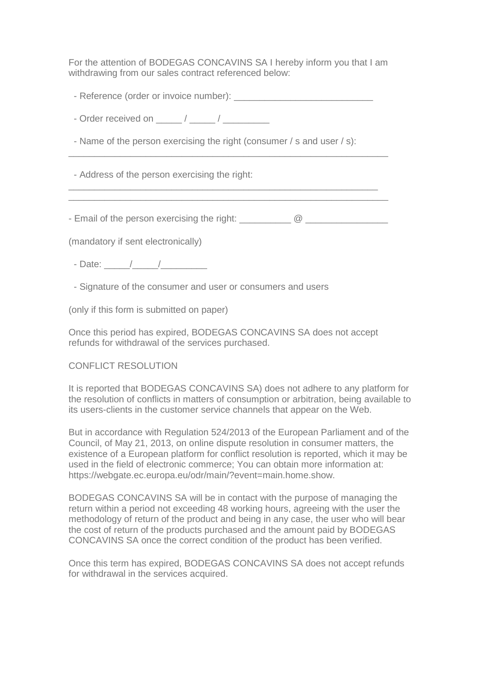For the attention of BODEGAS CONCAVINS SA I hereby inform you that I am withdrawing from our sales contract referenced below:

- Reference (order or invoice number):

- Order received on \_\_\_\_\_ / \_\_\_\_\_ / \_\_\_\_\_\_\_\_\_

- Name of the person exercising the right (consumer / s and user / s):

\_\_\_\_\_\_\_\_\_\_\_\_\_\_\_\_\_\_\_\_\_\_\_\_\_\_\_\_\_\_\_\_\_\_\_\_\_\_\_\_\_\_\_\_\_\_\_\_\_\_\_\_\_\_\_\_\_\_\_\_\_\_

\_\_\_\_\_\_\_\_\_\_\_\_\_\_\_\_\_\_\_\_\_\_\_\_\_\_\_\_\_\_\_\_\_\_\_\_\_\_\_\_\_\_\_\_\_\_\_\_\_\_\_\_\_\_\_\_\_\_\_\_ \_\_\_\_\_\_\_\_\_\_\_\_\_\_\_\_\_\_\_\_\_\_\_\_\_\_\_\_\_\_\_\_\_\_\_\_\_\_\_\_\_\_\_\_\_\_\_\_\_\_\_\_\_\_\_\_\_\_\_\_\_\_

- Address of the person exercising the right:

- Email of the person exercising the right:  $\frac{1}{2}$   $\frac{1}{2}$   $\frac{1}{2}$   $\frac{1}{2}$   $\frac{1}{2}$   $\frac{1}{2}$   $\frac{1}{2}$   $\frac{1}{2}$   $\frac{1}{2}$   $\frac{1}{2}$   $\frac{1}{2}$   $\frac{1}{2}$   $\frac{1}{2}$   $\frac{1}{2}$   $\frac{1}{2}$   $\frac{1}{2}$   $\frac{1}{2}$   $\frac{1}{2$ 

(mandatory if sent electronically)

- Date: \_\_\_\_\_/\_\_\_\_\_/\_\_\_\_\_\_\_\_\_

- Signature of the consumer and user or consumers and users

(only if this form is submitted on paper)

Once this period has expired, BODEGAS CONCAVINS SA does not accept refunds for withdrawal of the services purchased.

#### CONFLICT RESOLUTION

It is reported that BODEGAS CONCAVINS SA) does not adhere to any platform for the resolution of conflicts in matters of consumption or arbitration, being available to its users-clients in the customer service channels that appear on the Web.

But in accordance with Regulation 524/2013 of the European Parliament and of the Council, of May 21, 2013, on online dispute resolution in consumer matters, the existence of a European platform for conflict resolution is reported, which it may be used in the field of electronic commerce; You can obtain more information at: https://webgate.ec.europa.eu/odr/main/?event=main.home.show.

BODEGAS CONCAVINS SA will be in contact with the purpose of managing the return within a period not exceeding 48 working hours, agreeing with the user the methodology of return of the product and being in any case, the user who will bear the cost of return of the products purchased and the amount paid by BODEGAS CONCAVINS SA once the correct condition of the product has been verified.

Once this term has expired, BODEGAS CONCAVINS SA does not accept refunds for withdrawal in the services acquired.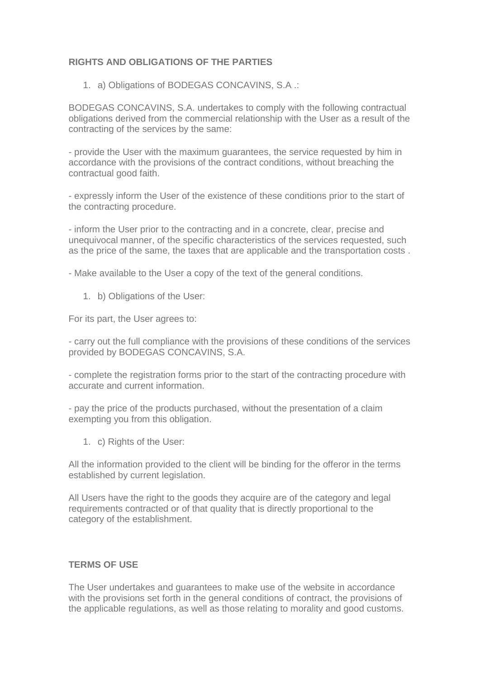# **RIGHTS AND OBLIGATIONS OF THE PARTIES**

1. a) Obligations of BODEGAS CONCAVINS, S.A .:

BODEGAS CONCAVINS, S.A. undertakes to comply with the following contractual obligations derived from the commercial relationship with the User as a result of the contracting of the services by the same:

- provide the User with the maximum guarantees, the service requested by him in accordance with the provisions of the contract conditions, without breaching the contractual good faith.

- expressly inform the User of the existence of these conditions prior to the start of the contracting procedure.

- inform the User prior to the contracting and in a concrete, clear, precise and unequivocal manner, of the specific characteristics of the services requested, such as the price of the same, the taxes that are applicable and the transportation costs .

- Make available to the User a copy of the text of the general conditions.

1. b) Obligations of the User:

For its part, the User agrees to:

- carry out the full compliance with the provisions of these conditions of the services provided by BODEGAS CONCAVINS, S.A.

- complete the registration forms prior to the start of the contracting procedure with accurate and current information.

- pay the price of the products purchased, without the presentation of a claim exempting you from this obligation.

1. c) Rights of the User:

All the information provided to the client will be binding for the offeror in the terms established by current legislation.

All Users have the right to the goods they acquire are of the category and legal requirements contracted or of that quality that is directly proportional to the category of the establishment.

#### **TERMS OF USE**

The User undertakes and guarantees to make use of the website in accordance with the provisions set forth in the general conditions of contract, the provisions of the applicable regulations, as well as those relating to morality and good customs.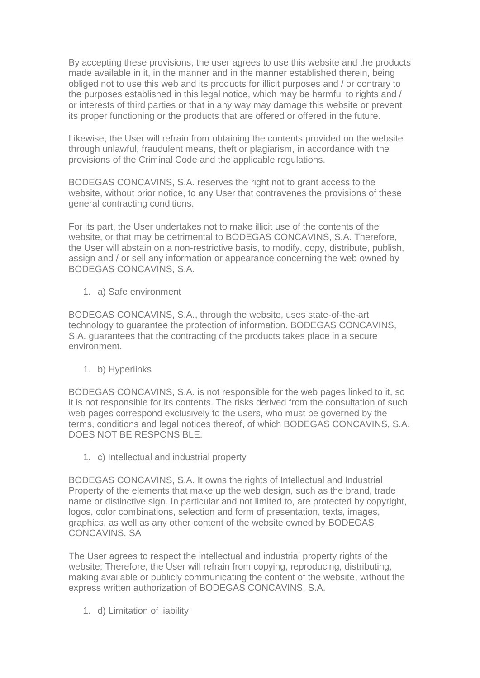By accepting these provisions, the user agrees to use this website and the products made available in it, in the manner and in the manner established therein, being obliged not to use this web and its products for illicit purposes and / or contrary to the purposes established in this legal notice, which may be harmful to rights and / or interests of third parties or that in any way may damage this website or prevent its proper functioning or the products that are offered or offered in the future.

Likewise, the User will refrain from obtaining the contents provided on the website through unlawful, fraudulent means, theft or plagiarism, in accordance with the provisions of the Criminal Code and the applicable regulations.

BODEGAS CONCAVINS, S.A. reserves the right not to grant access to the website, without prior notice, to any User that contravenes the provisions of these general contracting conditions.

For its part, the User undertakes not to make illicit use of the contents of the website, or that may be detrimental to BODEGAS CONCAVINS, S.A. Therefore, the User will abstain on a non-restrictive basis, to modify, copy, distribute, publish, assign and / or sell any information or appearance concerning the web owned by BODEGAS CONCAVINS, S.A.

1. a) Safe environment

BODEGAS CONCAVINS, S.A., through the website, uses state-of-the-art technology to guarantee the protection of information. BODEGAS CONCAVINS, S.A. guarantees that the contracting of the products takes place in a secure environment.

1. b) Hyperlinks

BODEGAS CONCAVINS, S.A. is not responsible for the web pages linked to it, so it is not responsible for its contents. The risks derived from the consultation of such web pages correspond exclusively to the users, who must be governed by the terms, conditions and legal notices thereof, of which BODEGAS CONCAVINS, S.A. DOES NOT BE RESPONSIBLE.

1. c) Intellectual and industrial property

BODEGAS CONCAVINS, S.A. It owns the rights of Intellectual and Industrial Property of the elements that make up the web design, such as the brand, trade name or distinctive sign. In particular and not limited to, are protected by copyright, logos, color combinations, selection and form of presentation, texts, images, graphics, as well as any other content of the website owned by BODEGAS CONCAVINS, SA

The User agrees to respect the intellectual and industrial property rights of the website; Therefore, the User will refrain from copying, reproducing, distributing, making available or publicly communicating the content of the website, without the express written authorization of BODEGAS CONCAVINS, S.A.

1. d) Limitation of liability